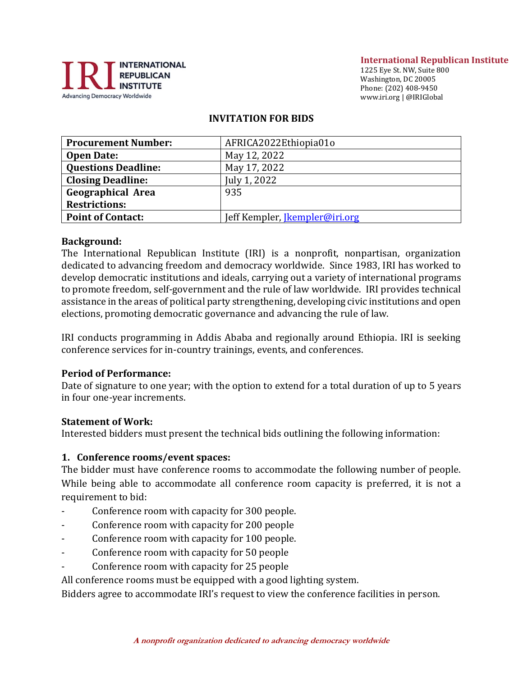

#### **International Republican Institute**

1225 Eye St. NW, Suite 800 Washington, DC 20005 Phone: (202) 408-9450 www.iri.org | @IRIGlobal

#### **INVITATION FOR BIDS**

| <b>Procurement Number:</b> | AFRICA2022Ethiopia01o                 |
|----------------------------|---------------------------------------|
| <b>Open Date:</b>          | May 12, 2022                          |
| <b>Questions Deadline:</b> | May 17, 2022                          |
| <b>Closing Deadline:</b>   | July 1, 2022                          |
| <b>Geographical Area</b>   | 935                                   |
| <b>Restrictions:</b>       |                                       |
| <b>Point of Contact:</b>   | Jeff Kempler, <i>Jkempler@iri.org</i> |

#### **Background:**

The International Republican Institute (IRI) is a nonprofit, nonpartisan, organization dedicated to advancing freedom and democracy worldwide. Since 1983, IRI has worked to develop democratic institutions and ideals, carrying out a variety of international programs to promote freedom, self-government and the rule of law worldwide. IRI provides technical assistance in the areas of political party strengthening, developing civic institutions and open elections, promoting democratic governance and advancing the rule of law.

IRI conducts programming in Addis Ababa and regionally around Ethiopia. IRI is seeking conference services for in-country trainings, events, and conferences.

#### **Period of Performance:**

Date of signature to one year; with the option to extend for a total duration of up to 5 years in four one-year increments.

#### **Statement of Work:**

Interested bidders must present the technical bids outlining the following information:

#### **1. Conference rooms/event spaces:**

The bidder must have conference rooms to accommodate the following number of people. While being able to accommodate all conference room capacity is preferred, it is not a requirement to bid:

- Conference room with capacity for 300 people.
- Conference room with capacity for 200 people
- Conference room with capacity for 100 people.
- Conference room with capacity for 50 people
- Conference room with capacity for 25 people

All conference rooms must be equipped with a good lighting system.

Bidders agree to accommodate IRI's request to view the conference facilities in person.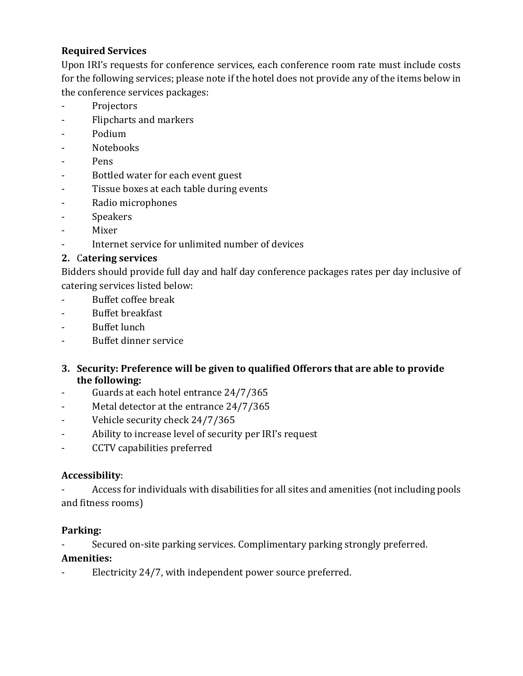# **Required Services**

Upon IRI's requests for conference services, each conference room rate must include costs for the following services; please note if the hotel does not provide any of the items below in the conference services packages:

- Projectors
- Flipcharts and markers
- Podium
- Notebooks
- Pens
- Bottled water for each event guest
- Tissue boxes at each table during events
- Radio microphones
- **Speakers**
- Mixer
- Internet service for unlimited number of devices

# **2.** C**atering services**

Bidders should provide full day and half day conference packages rates per day inclusive of catering services listed below:

- Buffet coffee break
- Buffet breakfast
- Buffet lunch
- Buffet dinner service
- **3. Security: Preference will be given to qualified Offerors that are able to provide the following:**
- Guards at each hotel entrance 24/7/365
- Metal detector at the entrance 24/7/365
- Vehicle security check 24/7/365
- Ability to increase level of security per IRI's request
- CCTV capabilities preferred

# **Accessibility**:

- Access for individuals with disabilities for all sites and amenities (not including pools and fitness rooms)

### **Parking:**

Secured on-site parking services. Complimentary parking strongly preferred.

### **Amenities:**

Electricity 24/7, with independent power source preferred.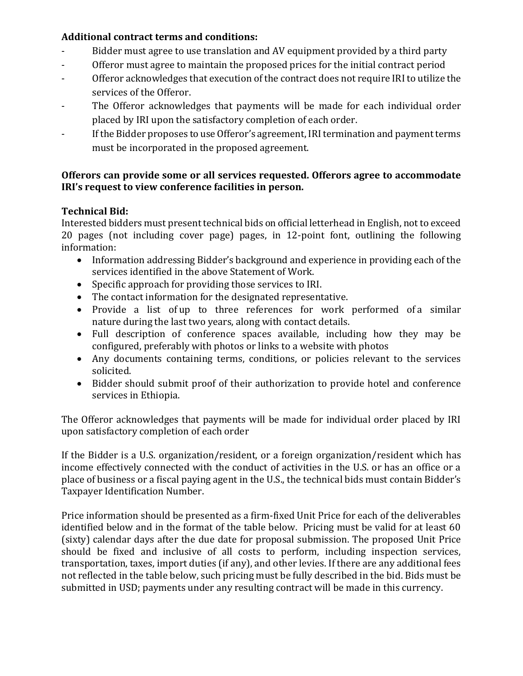### **Additional contract terms and conditions:**

- Bidder must agree to use translation and AV equipment provided by a third party
- Offeror must agree to maintain the proposed prices for the initial contract period
- Offeror acknowledges that execution of the contract does not require IRI to utilize the services of the Offeror.
- The Offeror acknowledges that payments will be made for each individual order placed by IRI upon the satisfactory completion of each order.
- If the Bidder proposes to use Offeror's agreement, IRI termination and payment terms must be incorporated in the proposed agreement.

#### **Offerors can provide some or all services requested. Offerors agree to accommodate IRI's request to view conference facilities in person.**

### **Technical Bid:**

Interested bidders must present technical bids on official letterhead in English, not to exceed 20 pages (not including cover page) pages, in 12-point font, outlining the following information:

- Information addressing Bidder's background and experience in providing each of the services identified in the above Statement of Work.
- Specific approach for providing those services to IRI.
- The contact information for the designated representative.
- Provide a list of up to three references for work performed of a similar nature during the last two years, along with contact details.
- Full description of conference spaces available, including how they may be configured, preferably with photos or links to a website with photos
- Any documents containing terms, conditions, or policies relevant to the services solicited.
- Bidder should submit proof of their authorization to provide hotel and conference services in Ethiopia.

The Offeror acknowledges that payments will be made for individual order placed by IRI upon satisfactory completion of each order

If the Bidder is a U.S. organization/resident, or a foreign organization/resident which has income effectively connected with the conduct of activities in the U.S. or has an office or a place of business or a fiscal paying agent in the U.S., the technical bids must contain Bidder's Taxpayer Identification Number.

Price information should be presented as a firm-fixed Unit Price for each of the deliverables identified below and in the format of the table below. Pricing must be valid for at least 60 (sixty) calendar days after the due date for proposal submission. The proposed Unit Price should be fixed and inclusive of all costs to perform, including inspection services, transportation, taxes, import duties (if any), and other levies. If there are any additional fees not reflected in the table below, such pricing must be fully described in the bid. Bids must be submitted in USD; payments under any resulting contract will be made in this currency.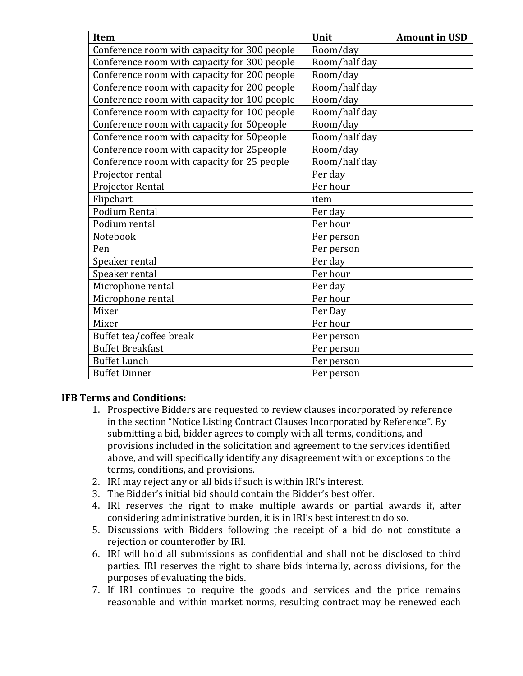| <b>Item</b>                                  | Unit          | <b>Amount in USD</b> |
|----------------------------------------------|---------------|----------------------|
| Conference room with capacity for 300 people | Room/day      |                      |
| Conference room with capacity for 300 people | Room/half day |                      |
| Conference room with capacity for 200 people | Room/day      |                      |
| Conference room with capacity for 200 people | Room/half day |                      |
| Conference room with capacity for 100 people | Room/day      |                      |
| Conference room with capacity for 100 people | Room/half day |                      |
| Conference room with capacity for 50 people  | Room/day      |                      |
| Conference room with capacity for 50 people  | Room/half day |                      |
| Conference room with capacity for 25 people  | Room/day      |                      |
| Conference room with capacity for 25 people  | Room/half day |                      |
| Projector rental                             | Per day       |                      |
| Projector Rental                             | Per hour      |                      |
| Flipchart                                    | item          |                      |
| Podium Rental                                | Per day       |                      |
| Podium rental                                | Per hour      |                      |
| Notebook                                     | Per person    |                      |
| Pen                                          | Per person    |                      |
| Speaker rental                               | Per day       |                      |
| Speaker rental                               | Per hour      |                      |
| Microphone rental                            | Per day       |                      |
| Microphone rental                            | Per hour      |                      |
| Mixer                                        | Per Day       |                      |
| Mixer                                        | Per hour      |                      |
| Buffet tea/coffee break                      | Per person    |                      |
| <b>Buffet Breakfast</b>                      | Per person    |                      |
| <b>Buffet Lunch</b>                          | Per person    |                      |
| <b>Buffet Dinner</b>                         | Per person    |                      |

#### **IFB Terms and Conditions:**

- 1. Prospective Bidders are requested to review clauses incorporated by reference in the section "Notice Listing Contract Clauses Incorporated by Reference". By submitting a bid, bidder agrees to comply with all terms, conditions, and provisions included in the solicitation and agreement to the services identified above, and will specifically identify any disagreement with or exceptions to the terms, conditions, and provisions.
- 2. IRI may reject any or all bids if such is within IRI's interest.
- 3. The Bidder's initial bid should contain the Bidder's best offer.
- 4. IRI reserves the right to make multiple awards or partial awards if, after considering administrative burden, it is in IRI's best interest to do so.
- 5. Discussions with Bidders following the receipt of a bid do not constitute a rejection or counteroffer by IRI.
- 6. IRI will hold all submissions as confidential and shall not be disclosed to third parties. IRI reserves the right to share bids internally, across divisions, for the purposes of evaluating the bids.
- 7. If IRI continues to require the goods and services and the price remains reasonable and within market norms, resulting contract may be renewed each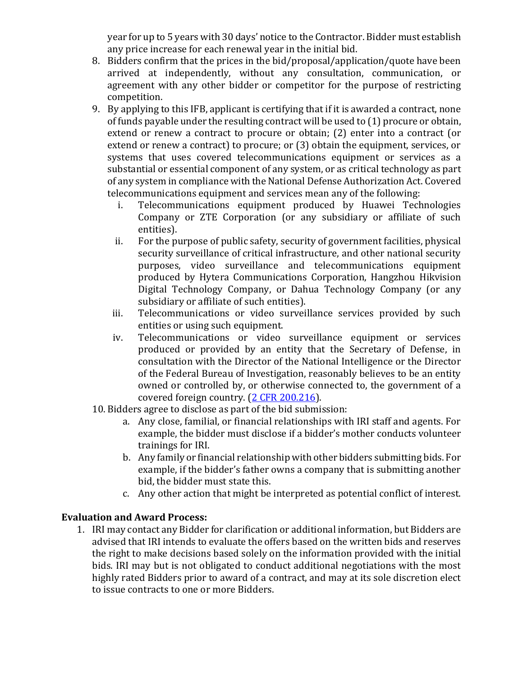year for up to 5 years with 30 days' notice to the Contractor. Bidder must establish any price increase for each renewal year in the initial bid.

- 8. Bidders confirm that the prices in the bid/proposal/application/quote have been arrived at independently, without any consultation, communication, or agreement with any other bidder or competitor for the purpose of restricting competition.
- 9. By applying to this IFB, applicant is certifying that if it is awarded a contract, none of funds payable under the resulting contract will be used to (1) procure or obtain, extend or renew a contract to procure or obtain; (2) enter into a contract (or extend or renew a contract) to procure; or (3) obtain the equipment, services, or systems that uses covered telecommunications equipment or services as a substantial or essential component of any system, or as critical technology as part of any system in compliance with the National Defense Authorization Act. Covered telecommunications equipment and services mean any of the following:
	- i. Telecommunications equipment produced by Huawei Technologies Company or ZTE Corporation (or any subsidiary or affiliate of such entities).
	- ii. For the purpose of public safety, security of government facilities, physical security surveillance of critical infrastructure, and other national security purposes, video surveillance and telecommunications equipment produced by Hytera Communications Corporation, Hangzhou Hikvision Digital Technology Company, or Dahua Technology Company (or any subsidiary or affiliate of such entities).
	- iii. Telecommunications or video surveillance services provided by such entities or using such equipment.
	- iv. Telecommunications or video surveillance equipment or services produced or provided by an entity that the Secretary of Defense, in consultation with the Director of the National Intelligence or the Director of the Federal Bureau of Investigation, reasonably believes to be an entity owned or controlled by, or otherwise connected to, the government of a covered foreign country. [\(2 CFR 200.216\)](https://www.ecfr.gov/cgi-bin/text-idx?SID=be339d70a8db644c507eb86e8d0a20f4&mc=true&node=se2.1.200_1216&rgn=div8).
- 10. Bidders agree to disclose as part of the bid submission:
	- a. Any close, familial, or financial relationships with IRI staff and agents. For example, the bidder must disclose if a bidder's mother conducts volunteer trainings for IRI.
	- b. Any family or financial relationship with other bidders submitting bids. For example, if the bidder's father owns a company that is submitting another bid, the bidder must state this.
	- c. Any other action that might be interpreted as potential conflict of interest.

### **Evaluation and Award Process:**

1. IRI may contact any Bidder for clarification or additional information, but Bidders are advised that IRI intends to evaluate the offers based on the written bids and reserves the right to make decisions based solely on the information provided with the initial bids. IRI may but is not obligated to conduct additional negotiations with the most highly rated Bidders prior to award of a contract, and may at its sole discretion elect to issue contracts to one or more Bidders.